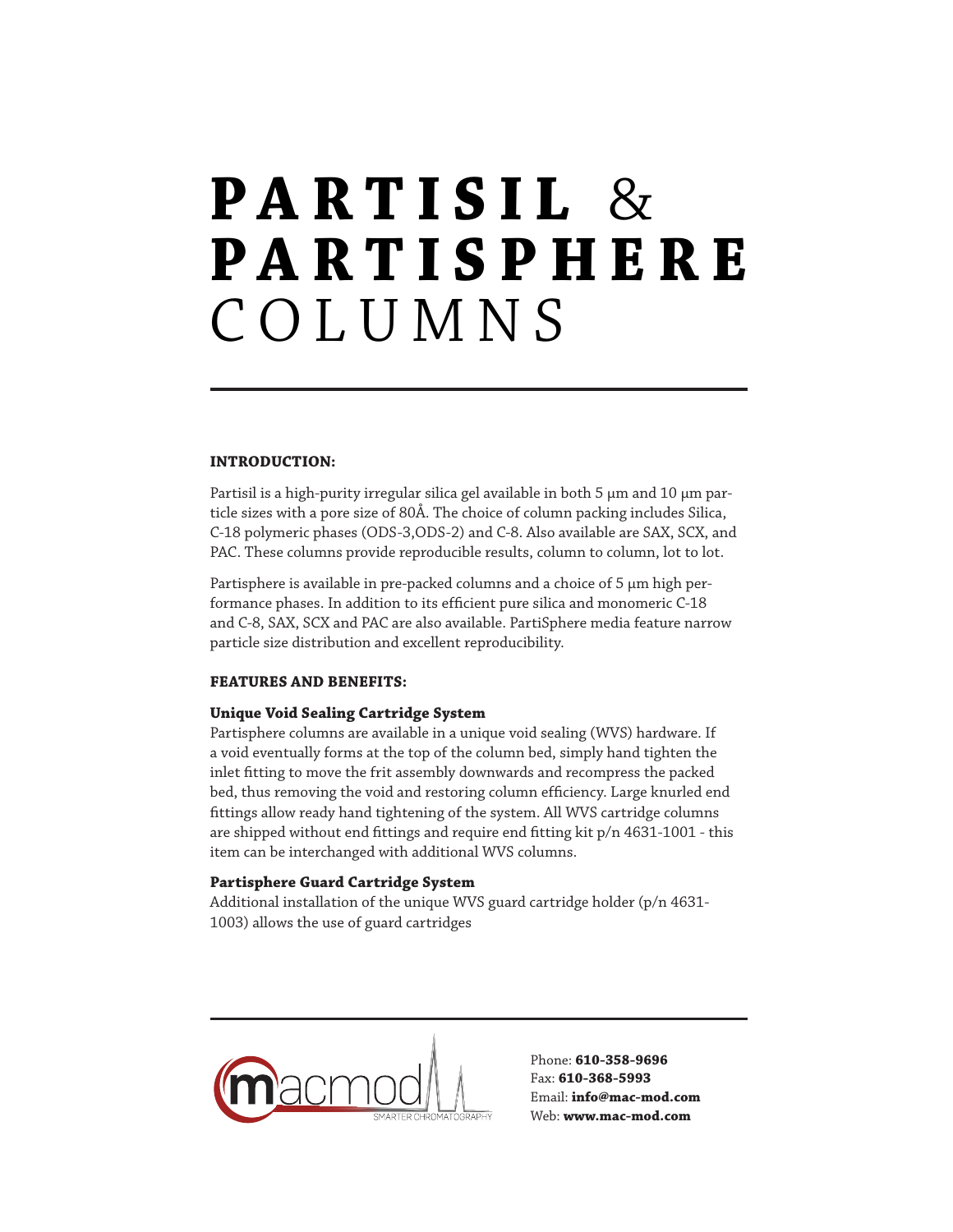## $\textbf{P} \textbf{A} \textbf{R} \textbf{T} \textbf{I} \textbf{S} \textbf{I} \textbf{L}$  & PARTIS PHE R E COLUMNS

#### INTRODUCTION:

Partisil is a high-purity irregular silica gel available in both 5 µm and 10 µm particle sizes with a pore size of 80Å. The choice of column packing includes Silica, C-18 polymeric phases (ODS-3,ODS-2) and C-8. Also available are SAX, SCX, and PAC. These columns provide reproducible results, column to column, lot to lot.

Partisphere is available in pre-packed columns and a choice of 5 µm high performance phases. In addition to its efficient pure silica and monomeric C-18 and C-8, SAX, SCX and PAC are also available. PartiSphere media feature narrow particle size distribution and excellent reproducibility.

#### Features and Benefits:

#### Unique Void Sealing Cartridge System

Partisphere columns are available in a unique void sealing (WVS) hardware. If a void eventually forms at the top of the column bed, simply hand tighten the inlet fitting to move the frit assembly downwards and recompress the packed bed, thus removing the void and restoring column efficiency. Large knurled end fittings allow ready hand tightening of the system. All WVS cartridge columns are shipped without end fittings and require end fitting kit p/n 4631-1001 - this item can be interchanged with additional WVS columns.

#### Partisphere Guard Cartridge System

Additional installation of the unique WVS guard cartridge holder (p/n 4631- 1003) allows the use of guard cartridges



Phone: 610-358-9696 Fax: 610-368-5993 Email: info@mac-mod.com Web: www.mac-mod.com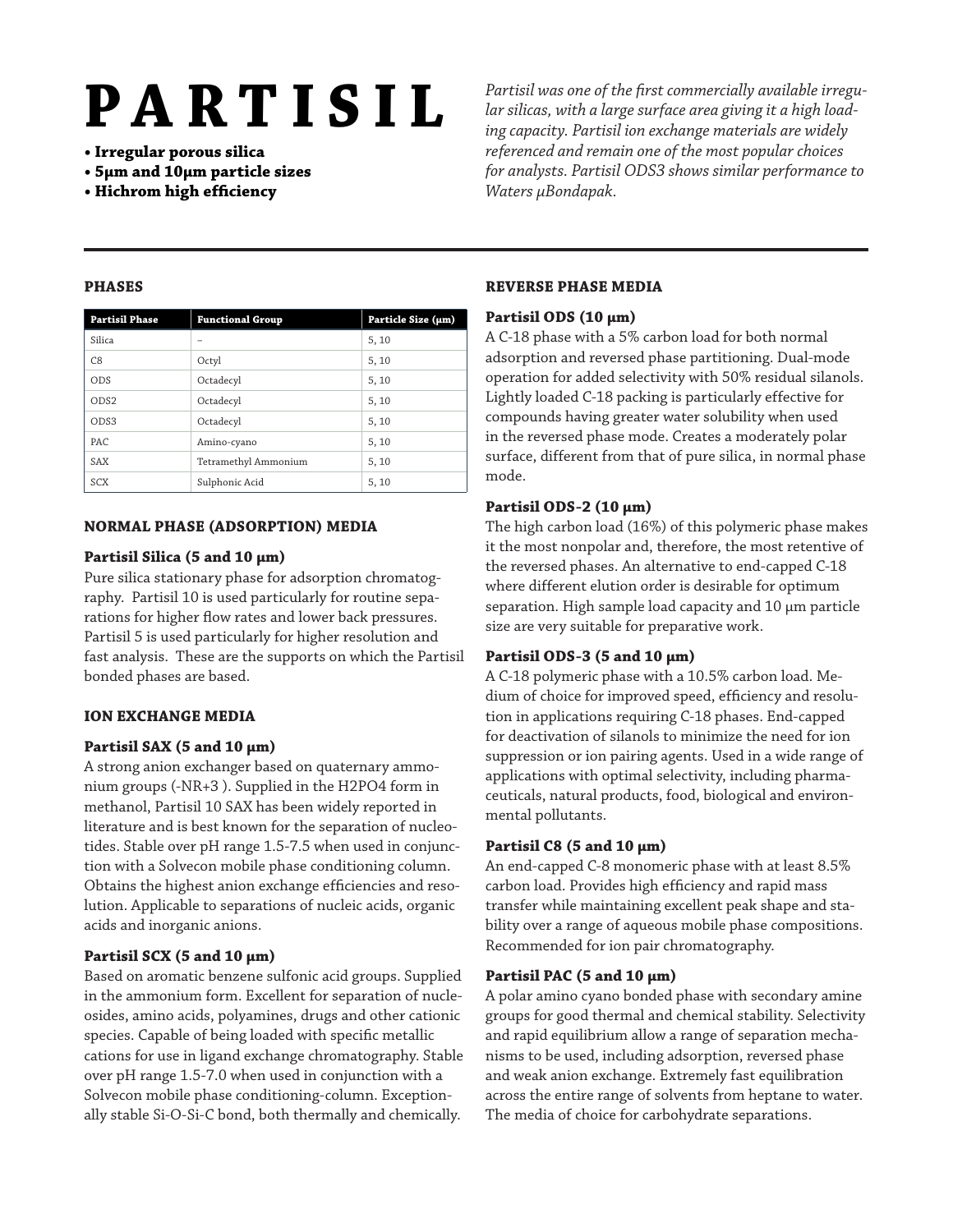- Irregular porous silica
- 5μm and 10μm particle sizes
- Hichrom high efficiency

**PARTISIL** <sup>Partisil was one of the first commercially available irregu-<br>lar silicas, with a large surface area giving it a high load-</sup> *lar silicas, with a large surface area giving it a high loading capacity. Partisil ion exchange materials are widely referenced and remain one of the most popular choices for analysts. Partisil ODS3 shows similar performance to Waters μBondapak.*

#### PHASES

| <b>Partisil Phase</b> | <b>Functional Group</b> | Particle Size (µm) |
|-----------------------|-------------------------|--------------------|
| Silica                |                         | 5, 10              |
| C8                    | Octyl                   | 5, 10              |
| <b>ODS</b>            | Octadecyl               | 5, 10              |
| OD <sub>S2</sub>      | Octadecyl               | 5, 10              |
| OD <sub>S3</sub>      | Octadecyl               | 5, 10              |
| PAC.                  | Amino-cyano             | 5, 10              |
| SAX                   | Tetramethyl Ammonium    | 5, 10              |
| <b>SCX</b>            | Sulphonic Acid          | 5, 10              |

#### Normal Phase (Adsorption) Media

#### Partisil Silica (5 and 10  $\mu$ m)

Pure silica stationary phase for adsorption chromatography. Partisil 10 is used particularly for routine separations for higher flow rates and lower back pressures. Partisil 5 is used particularly for higher resolution and fast analysis. These are the supports on which the Partisil bonded phases are based.

### Ion Exchange Media

### Partisil SAX (5 and 10  $\mu$ m)

A strong anion exchanger based on quaternary ammonium groups (-NR+3 ). Supplied in the H2PO4 form in methanol, Partisil 10 SAX has been widely reported in literature and is best known for the separation of nucleotides. Stable over pH range 1.5-7.5 when used in conjunction with a Solvecon mobile phase conditioning column. Obtains the highest anion exchange efficiencies and resolution. Applicable to separations of nucleic acids, organic acids and inorganic anions.

### Partisil SCX (5 and 10  $\mu$ m)

Based on aromatic benzene sulfonic acid groups. Supplied in the ammonium form. Excellent for separation of nucleosides, amino acids, polyamines, drugs and other cationic species. Capable of being loaded with specific metallic cations for use in ligand exchange chromatography. Stable over pH range 1.5-7.0 when used in conjunction with a Solvecon mobile phase conditioning-column. Exceptionally stable Si-O-Si-C bond, both thermally and chemically.

#### Reverse Phase Media

#### Partisil ODS (10 µm)

A C-18 phase with a 5% carbon load for both normal adsorption and reversed phase partitioning. Dual-mode operation for added selectivity with 50% residual silanols. Lightly loaded C-18 packing is particularly effective for compounds having greater water solubility when used in the reversed phase mode. Creates a moderately polar surface, different from that of pure silica, in normal phase mode.

#### Partisil ODS-2 (10 µm)

The high carbon load (16%) of this polymeric phase makes it the most nonpolar and, therefore, the most retentive of the reversed phases. An alternative to end-capped C-18 where different elution order is desirable for optimum separation. High sample load capacity and 10 µm particle size are very suitable for preparative work.

### Partisil ODS-3 (5 and 10  $\mu$ m)

A C-18 polymeric phase with a 10.5% carbon load. Medium of choice for improved speed, efficiency and resolution in applications requiring C-18 phases. End-capped for deactivation of silanols to minimize the need for ion suppression or ion pairing agents. Used in a wide range of applications with optimal selectivity, including pharmaceuticals, natural products, food, biological and environmental pollutants.

### Partisil C8 (5 and 10  $\mu$ m)

An end-capped C-8 monomeric phase with at least 8.5% carbon load. Provides high efficiency and rapid mass transfer while maintaining excellent peak shape and stability over a range of aqueous mobile phase compositions. Recommended for ion pair chromatography.

### Partisil PAC (5 and 10  $\mu$ m)

A polar amino cyano bonded phase with secondary amine groups for good thermal and chemical stability. Selectivity and rapid equilibrium allow a range of separation mechanisms to be used, including adsorption, reversed phase and weak anion exchange. Extremely fast equilibration across the entire range of solvents from heptane to water. The media of choice for carbohydrate separations.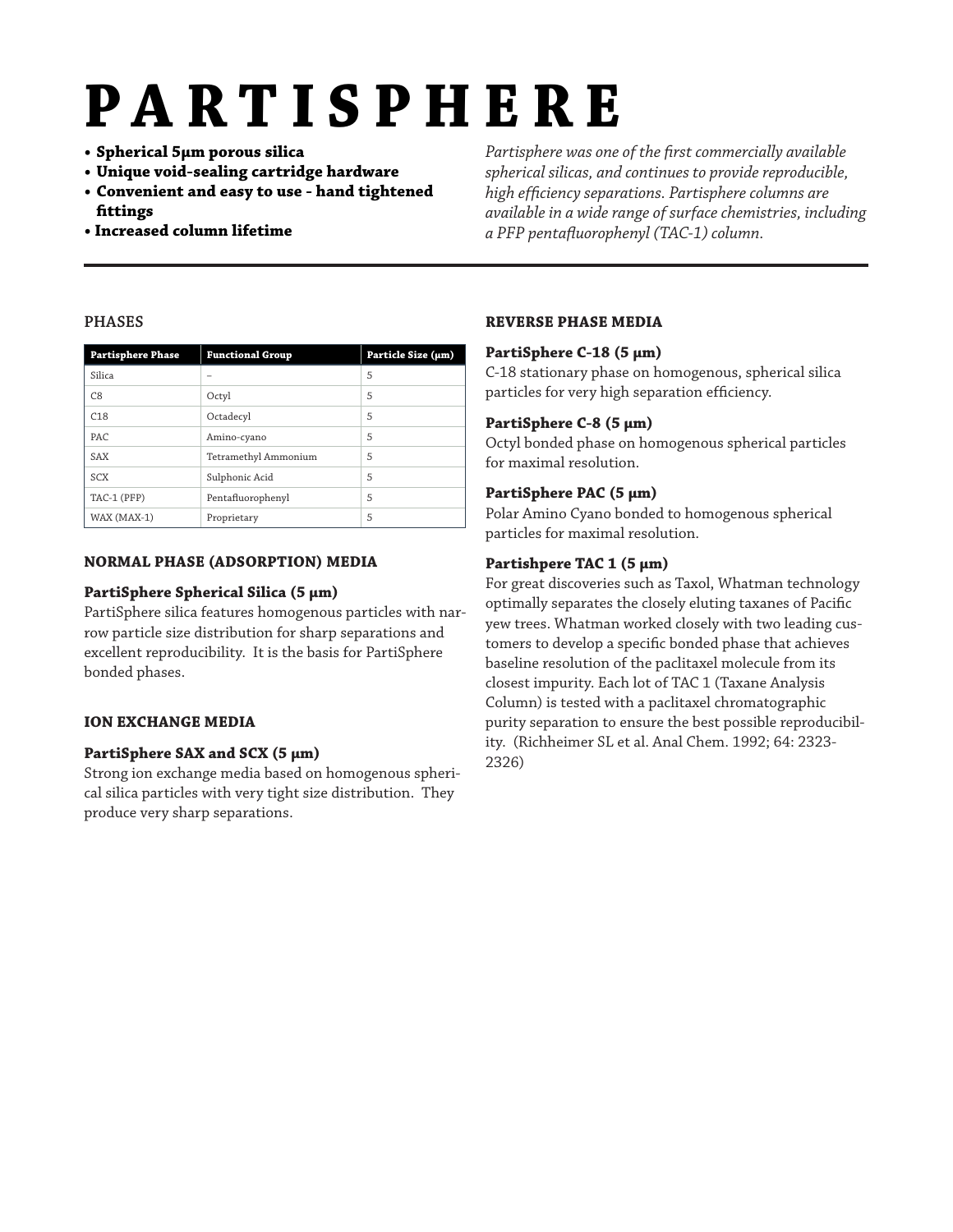# PartisPHE R E

- Spherical 5μm porous silica
- Unique void-sealing cartridge hardware
- Convenient and easy to use hand tightened fittings
- Increased column lifetime

*Partisphere was one of the first commercially available spherical silicas, and continues to provide reproducible, high efficiency separations. Partisphere columns are available in a wide range of surface chemistries, including a PFP pentafluorophenyl (TAC-1) column.*

#### PHASES

| <b>Partisphere Phase</b> | <b>Functional Group</b> | Particle Size (µm) |
|--------------------------|-------------------------|--------------------|
| Silica                   |                         | 5                  |
| C8                       | Octyl                   | 5                  |
| C18                      | Octadecyl               | 5                  |
| PAC.                     | Amino-cyano             | 5                  |
| SAX                      | Tetramethyl Ammonium    | 5                  |
| SCX                      | Sulphonic Acid          | 5                  |
| TAC-1 (PFP)              | Pentafluorophenyl       | 5                  |
| WAX (MAX-1)              | Proprietary             | 5                  |

#### Normal Phase (Adsorption) Media

#### PartiSphere Spherical Silica (5 µm)

PartiSphere silica features homogenous particles with narrow particle size distribution for sharp separations and excellent reproducibility. It is the basis for PartiSphere bonded phases.

### Ion Exchange Media

### PartiSphere SAX and SCX (5 µm)

Strong ion exchange media based on homogenous spherical silica particles with very tight size distribution. They produce very sharp separations.

### Reverse Phase Media

#### PartiSphere C-18 (5 µm)

C-18 stationary phase on homogenous, spherical silica particles for very high separation efficiency.

### PartiSphere C-8 (5 µm)

Octyl bonded phase on homogenous spherical particles for maximal resolution.

### PartiSphere PAC (5 µm)

Polar Amino Cyano bonded to homogenous spherical particles for maximal resolution.

#### Partishpere TAC 1 (5 µm)

For great discoveries such as Taxol, Whatman technology optimally separates the closely eluting taxanes of Pacific yew trees. Whatman worked closely with two leading customers to develop a specific bonded phase that achieves baseline resolution of the paclitaxel molecule from its closest impurity. Each lot of TAC 1 (Taxane Analysis Column) is tested with a paclitaxel chromatographic purity separation to ensure the best possible reproducibility. (Richheimer SL et al. Anal Chem. 1992; 64: 2323- 2326)